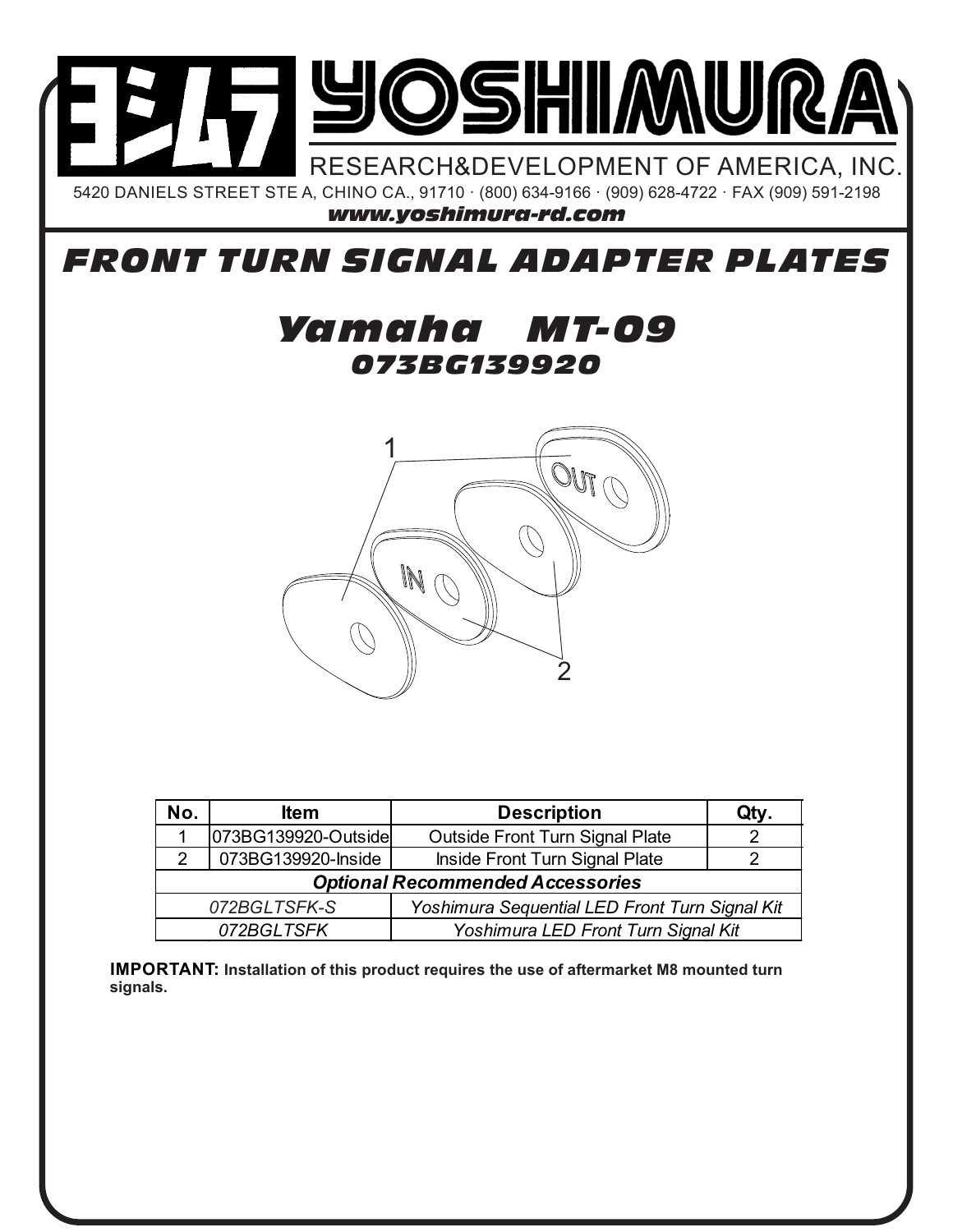

## *FRONT TURN SIGNAL ADAPTER PLATES*

## *073BG139920 Yamaha MT-09*



| No.                                                            | ltem                | <b>Description</b>              | Qty. |
|----------------------------------------------------------------|---------------------|---------------------------------|------|
|                                                                | 073BG139920-Outside | Outside Front Turn Signal Plate |      |
|                                                                | 073BG139920-Inside  | Inside Front Turn Signal Plate  |      |
| <b>Optional Recommended Accessories</b>                        |                     |                                 |      |
| Yoshimura Sequential LED Front Turn Signal Kit<br>072BGLTSFK-S |                     |                                 |      |
| 072BGLTSFK<br>Yoshimura LED Front Turn Signal Kit              |                     |                                 |      |

**IMPORTANT: Installation of this product requires the use of aftermarket M8 mounted turn signals.**